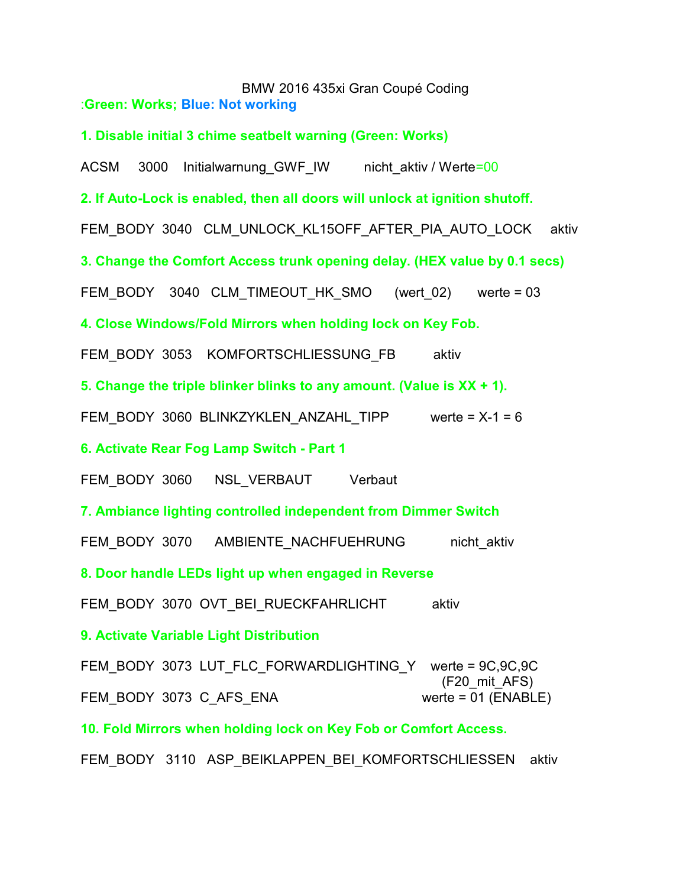BMW 2016 435xi Gran Coupé Coding :**Green: Works; Blue: Not working**

**1. Disable initial 3 chime seatbelt warning (Green: Works)**

ACSM 3000 Initialwarnung GWF IW nicht aktiv / Werte=00

**2. If Auto-Lock is enabled, then all doors will unlock at ignition shutoff.**

FEM\_BODY 3040 CLM\_UNLOCK\_KL15OFF\_AFTER\_PIA\_AUTO\_LOCK aktiv

**3. Change the Comfort Access trunk opening delay. (HEX value by 0.1 secs)**

FEM\_BODY 3040 CLM\_TIMEOUT\_HK\_SMO (wert\_02) werte = 03

**4. Close Windows/Fold Mirrors when holding lock on Key Fob.**

FEM\_BODY 3053 KOMFORTSCHLIESSUNG\_FB aktiv

**5. Change the triple blinker blinks to any amount. (Value is XX + 1).**

FEM\_BODY 3060 BLINKZYKLEN\_ANZAHL\_TIPP werte =  $X-1 = 6$ 

**6. Activate Rear Fog Lamp Switch - Part 1**

FEM\_BODY\_3060 NSL\_VERBAUT Verbaut

**7. Ambiance lighting controlled independent from Dimmer Switch**

FEM\_BODY\_3070 AMBIENTE\_NACHFUEHRUNG nicht\_aktiv

**8. Door handle LEDs light up when engaged in Reverse**

FEM\_BODY\_3070\_OVT\_BEI\_RUECKFAHRLICHT aktiv

**9. Activate Variable Light Distribution**

FEM\_BODY\_3073 LUT\_FLC\_FORWARDLIGHTING\_Y werte = 9C,9C,9C (F20\_mit\_AFS) FEM\_BODY\_3073 C\_AFS\_ENA werte = 01 (ENABLE)

**10. Fold Mirrors when holding lock on Key Fob or Comfort Access.**

FEM\_BODY\_3110\_ASP\_BEIKLAPPEN\_BEI\_KOMFORTSCHLIESSEN aktiv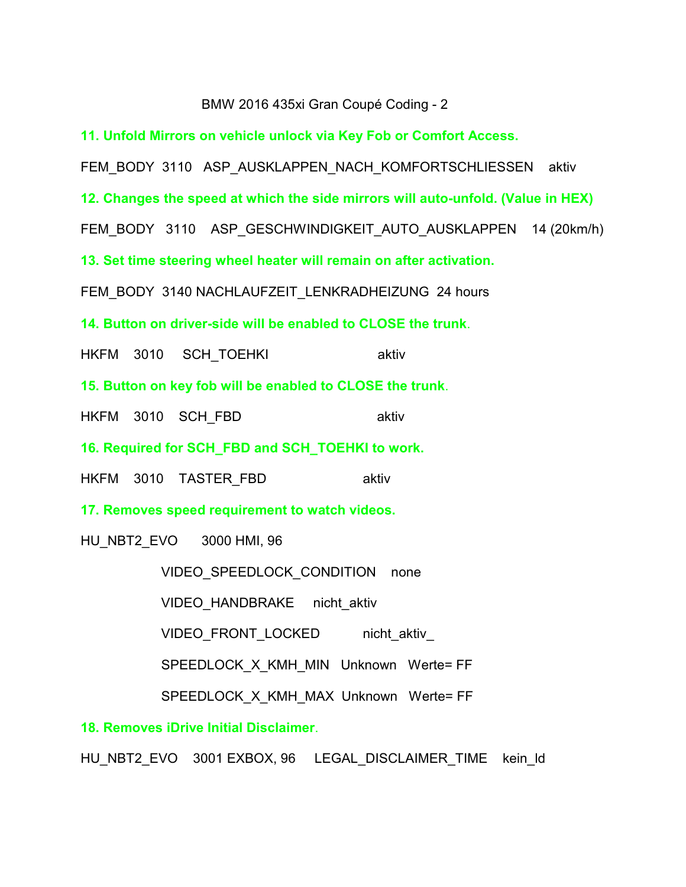## BMW 2016 435xi Gran Coupé Coding - 2

**11. Unfold Mirrors on vehicle unlock via Key Fob or Comfort Access.**

FEM\_BODY\_3110 ASP\_AUSKLAPPEN\_NACH\_KOMFORTSCHLIESSEN aktiv

**12. Changes the speed at which the side mirrors will auto-unfold. (Value in HEX)**

FEM\_BODY\_3110 ASP\_GESCHWINDIGKEIT\_AUTO\_AUSKLAPPEN 14 (20km/h)

**13. Set time steering wheel heater will remain on after activation.**

FEM\_BODY\_3140 NACHLAUFZEIT\_LENKRADHEIZUNG 24 hours

**14. Button on driver-side will be enabled to CLOSE the trunk**.

HKFM 3010 SCH TOEHKI aktiv

**15. Button on key fob will be enabled to CLOSE the trunk**.

HKFM 3010 SCH\_FBD aktiv

**16. Required for SCH\_FBD and SCH\_TOEHKI to work.**

HKFM 3010 TASTER\_FBD aktiv

**17. Removes speed requirement to watch videos.**

HU\_NBT2\_EVO 3000 HMI, 96

VIDEO\_SPEEDLOCK\_CONDITION none

VIDEO HANDBRAKE nicht aktiv

VIDEO\_FRONT\_LOCKED nicht\_aktiv

SPEEDLOCK X KMH\_MIN Unknown Werte= FF

SPEEDLOCK X KMH\_MAX Unknown Werte= FF

**18. Removes iDrive Initial Disclaimer**.

HU\_NBT2\_EVO 3001 EXBOX, 96 LEGAL\_DISCLAIMER\_TIME kein\_ld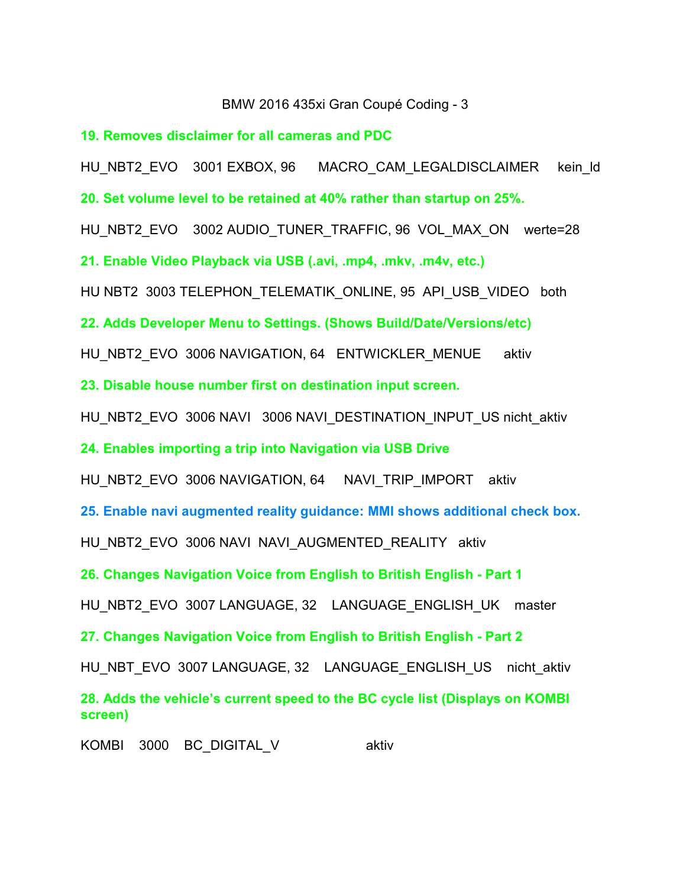## BMW 2016 435xi Gran Coupé Coding - 3

**19. Removes disclaimer for all cameras and PDC**

HU\_NBT2\_EVO 3001 EXBOX, 96 MACRO\_CAM\_LEGALDISCLAIMER kein\_ld

**20. Set volume level to be retained at 40% rather than startup on 25%.**

HU\_NBT2\_EVO 3002 AUDIO\_TUNER\_TRAFFIC, 96 VOL\_MAX\_ON werte=28

**21. Enable Video Playback via USB (.avi, .mp4, .mkv, .m4v, etc.)**

HU NBT2 3003 TELEPHON TELEMATIK ONLINE, 95 API\_USB\_VIDEO both

**22. Adds Developer Menu to Settings. (Shows Build/Date/Versions/etc)**

HU\_NBT2\_EVO\_3006 NAVIGATION, 64 ENTWICKLER\_MENUE aktiv

**23. Disable house number first on destination input screen.**

HU\_NBT2\_EVO 3006 NAVI3006 NAVI\_DESTINATION\_INPUT\_US nicht\_aktiv

**24. Enables importing a trip into Navigation via USB Drive**

HU\_NBT2\_EVO 3006 NAVIGATION, 64 NAVI\_TRIP\_IMPORT aktiv

**25. Enable navi augmented reality guidance: MMI shows additional check box.**

HU\_NBT2\_EVO\_3006 NAVI\_NAVI\_AUGMENTED\_REALITY\_aktiv

**26. Changes Navigation Voice from English to British English - Part 1**

HU\_NBT2\_EVO\_3007 LANGUAGE, 32 LANGUAGE\_ENGLISH\_UK master

**27. Changes Navigation Voice from English to British English - Part 2**

HU\_NBT\_EVO 3007 LANGUAGE, 32 LANGUAGE\_ENGLISH\_US nicht\_aktiv

**28. Adds the vehicle's current speed to the BC cycle list (Displays on KOMBI screen)**

KOMBI 3000 BC DIGITAL V aktiv